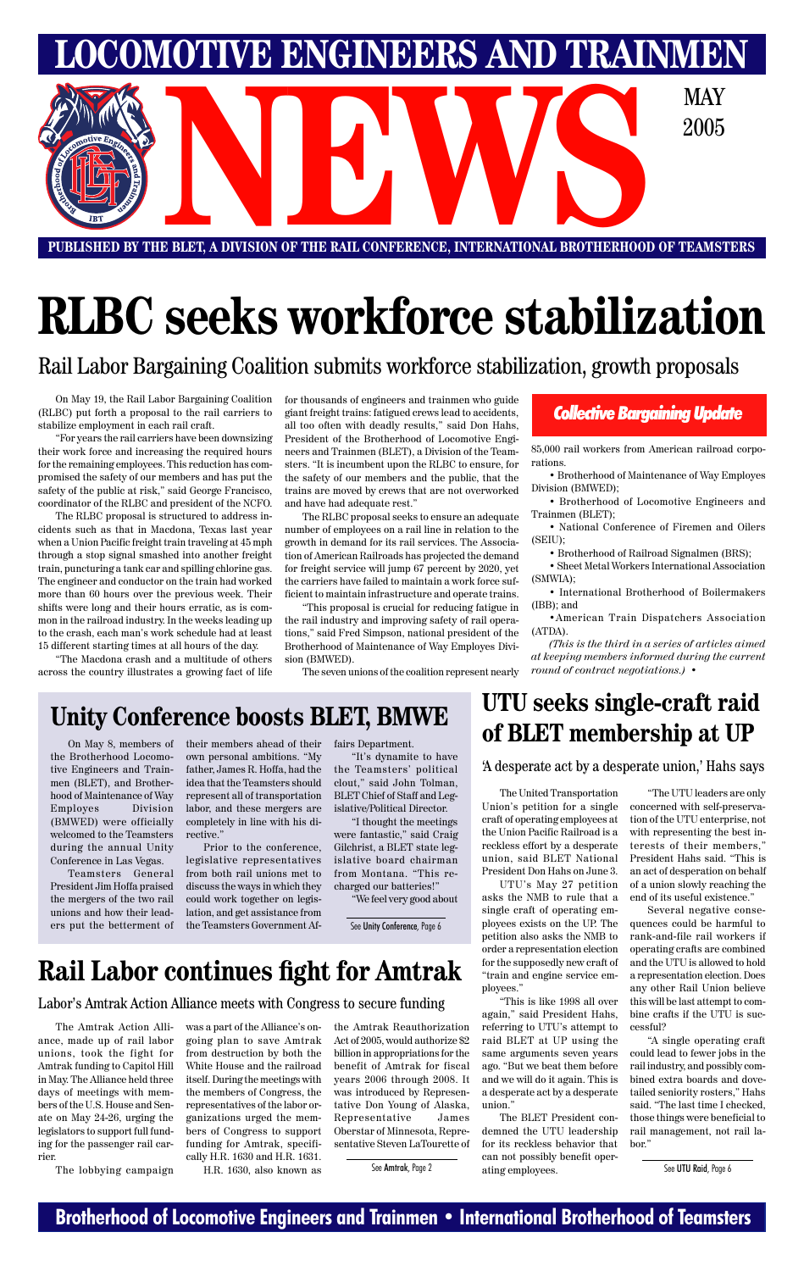### **Brotherhood of Locomotive Engineers and Trainmen • International Brotherhood of Teamsters**

**LOMOTIVE ENGINEERS AND TRAINMEN NEWSPACE AND DESCRIPTION OF THE RAIL CONFERENCE, INTERNATIONAL BROTHERHOOD OF TEAMS:** 2005

**PUBLISHED BY THE BLET, A DIVISION OF THE RAIL CONFERENCE, INTERNATIONAL BROTHERHOOD OF TEAMSTERS**

# **RLBC seeks workforce stabilization**

Rail Labor Bargaining Coalition submits workforce stabilization, growth proposals

On May 19, the Rail Labor Bargaining Coalition (RLBC) put forth a proposal to the rail carriers to stabilize employment in each rail craft.

"For years the rail carriers have been downsizing their work force and increasing the required hours for the remaining employees. This reduction has compromised the safety of our members and has put the safety of the public at risk," said George Francisco, coordinator of the RLBC and president of the NCFO.

The RLBC proposal is structured to address incidents such as that in Macdona, Texas last year when a Union Pacific freight train traveling at 45 mph through a stop signal smashed into another freight train, puncturing a tank car and spilling chlorine gas. The engineer and conductor on the train had worked more than 60 hours over the previous week. Their shifts were long and their hours erratic, as is common in the railroad industry. In the weeks leading up to the crash, each man's work schedule had at least 15 different starting times at all hours of the day.

"The Macdona crash and a multitude of others across the country illustrates a growing fact of life

### *Collective Bargaining Update*

## **UTU seeks single-craft raid of BLET membership at UP**

'A desperate act by a desperate union,' Hahs says

# **Rail Labor continues fight for Amtrak**

The Amtrak Action Alliance, made up of rail labor unions, took the fight for Amtrak funding to Capitol Hill in May. The Alliance held three days of meetings with members of the U.S. House and Senate on May 24-26, urging the legislators to support full funding for the passenger rail carrier.

The lobbying campaign

was a part of the Alliance's ongoing plan to save Amtrak from destruction by both the White House and the railroad itself. During the meetings with the members of Congress, the representatives of the labor organizations urged the members of Congress to support funding for Amtrak, specifically H.R. 1630 and H.R. 1631.

H.R. 1630, also known as

the Amtrak Reauthorization Act of 2005, would authorize \$2 billion in appropriations for the benefit of Amtrak for fiscal years 2006 through 2008. It was introduced by Representative Don Young of Alaska, Representative James Oberstar of Minnesota, Representative Steven LaTourette of

See Amtrak, Page 2

### Labor's Amtrak Action Alliance meets with Congress to secure funding

## **Unity Conference boosts BLET, BMWE**

for thousands of engineers and trainmen who guide giant freight trains: fatigued crews lead to accidents, all too often with deadly results," said Don Hahs, President of the Brotherhood of Locomotive Engineers and Trainmen (BLET), a Division of the Teamsters. "It is incumbent upon the RLBC to ensure, for the safety of our members and the public, that the trains are moved by crews that are not overworked and have had adequate rest."

The RLBC proposal seeks to ensure an adequate number of employees on a rail line in relation to the growth in demand for its rail services. The Association of American Railroads has projected the demand for freight service will jump 67 percent by 2020, yet the carriers have failed to maintain a work force sufficient to maintain infrastructure and operate trains.

"This proposal is crucial for reducing fatigue in the rail industry and improving safety of rail operations," said Fred Simpson, national president of the Brotherhood of Maintenance of Way Employes Division (BMWED).

The seven unions of the coalition represent nearly

85,000 rail workers from American railroad corporations.

• Brotherhood of Maintenance of Way Employes Division (BMWED);

• Brotherhood of Locomotive Engineers and Trainmen (BLET);

• National Conference of Firemen and Oilers (SEIU);

• Brotherhood of Railroad Signalmen (BRS);

• Sheet Metal Workers International Association (SMWIA);

• International Brotherhood of Boilermakers (IBB); and

•American Train Dispatchers Association (ATDA).

*(This is the third in a series of articles aimed at keeping members informed during the current round of contract negotiations.)* •

On May 8, members of the Brotherhood Locomotive Engineers and Trainmen (BLET), and Brotherhood of Maintenance of Way Employes Division (BMWED) were officially welcomed to the Teamsters during the annual Unity Conference in Las Vegas.

Teamsters General President Jim Hoffa praised the mergers of the two rail unions and how their leaders put the betterment of their members ahead of their own personal ambitions. "My father, James R. Hoffa, had the idea that the Teamsters should represent all of transportation labor, and these mergers are completely in line with his directive."

Prior to the conference, legislative representatives from both rail unions met to discuss the ways in which they could work together on legislation, and get assistance from the Teamsters Government Affairs Department.

"It's dynamite to have the Teamsters' political clout," said John Tolman, BLET Chief of Staff and Legislative/Political Director.

"I thought the meetings were fantastic," said Craig Gilchrist, a BLET state legislative board chairman from Montana. "This recharged our batteries!"

"We feel very good about

The United Transportation Union's petition for a single craft of operating employees at the Union Pacific Railroad is a reckless effort by a desperate union, said BLET National President Don Hahs on June 3.

UTU's May 27 petition asks the NMB to rule that a single craft of operating employees exists on the UP. The petition also asks the NMB to order a representation election for the supposedly new craft of "train and engine service employees." "This is like 1998 all over again," said President Hahs, referring to UTU's attempt to raid BLET at UP using the same arguments seven years ago. "But we beat them before and we will do it again. This is a desperate act by a desperate union."

The BLET President condemned the UTU leadership for its reckless behavior that can not possibly benefit operating employees.

"The UTU leaders are only concerned with self-preservation of the UTU enterprise, not with representing the best interests of their members," President Hahs said. "This is an act of desperation on behalf of a union slowly reaching the end of its useful existence."

Several negative consequences could be harmful to rank-and-file rail workers if operating crafts are combined and the UTU is allowed to hold a representation election. Does any other Rail Union believe this will be last attempt to combine crafts if the UTU is successful? "A single operating craft could lead to fewer jobs in the rail industry, and possibly combined extra boards and dovetailed seniority rosters," Hahs said. "The last time I checked, those things were beneficial to rail management, not rail labor."

See UTU Raid, Page 6

See Unity Conference, Page 6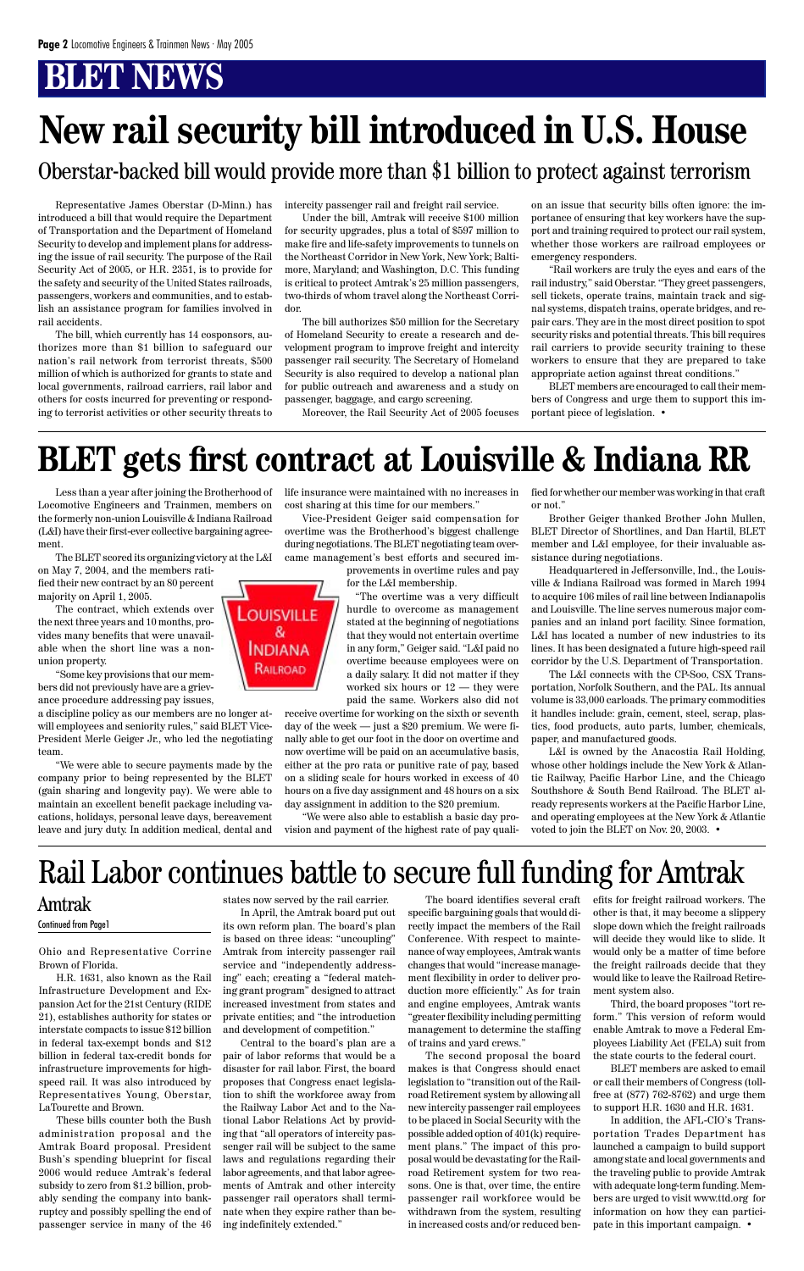Ohio and Representative Corrine Brown of Florida.

H.R. 1631, also known as the Rail Infrastructure Development and Expansion Act for the 21st Century (RIDE 21), establishes authority for states or interstate compacts to issue \$12 billion in federal tax-exempt bonds and \$12 billion in federal tax-credit bonds for infrastructure improvements for highspeed rail. It was also introduced by Representatives Young, Oberstar, LaTourette and Brown.

These bills counter both the Bush administration proposal and the Amtrak Board proposal. President Bush's spending blueprint for fiscal 2006 would reduce Amtrak's federal subsidy to zero from \$1.2 billion, probably sending the company into bankruptcy and possibly spelling the end of passenger service in many of the 46

states now served by the rail carrier. its own reform plan. The board's plan is based on three ideas: "uncoupling" Amtrak from intercity passenger rail service and "independently addressing" each; creating a "federal matching grant program" designed to attract increased investment from states and private entities; and "the introduction and development of competition." Central to the board's plan are a pair of labor reforms that would be a disaster for rail labor. First, the board proposes that Congress enact legislation to shift the workforce away from the Railway Labor Act and to the National Labor Relations Act by providing that "all operators of intercity passenger rail will be subject to the same laws and regulations regarding their labor agreements, and that labor agreements of Amtrak and other intercity passenger rail operators shall terminate when they expire rather than being indefinitely extended."

In April, the Amtrak board put out specific bargaining goals that would di-The board identifies several craft rectly impact the members of the Rail Conference. With respect to maintenance of way employees, Amtrak wants changes that would "increase management flexibility in order to deliver production more efficiently." As for train and engine employees, Amtrak wants "greater flexibility including permitting management to determine the staffing of trains and yard crews." The second proposal the board makes is that Congress should enact legislation to "transition out of the Railroad Retirement system by allowing all new intercity passenger rail employees to be placed in Social Security with the possible added option of 401(k) requirement plans." The impact of this proposal would be devastating for the Railroad Retirement system for two reasons. One is that, over time, the entire passenger rail workforce would be withdrawn from the system, resulting in increased costs and/or reduced ben-

efits for freight railroad workers. The other is that, it may become a slippery slope down which the freight railroads will decide they would like to slide. It would only be a matter of time before the freight railroads decide that they would like to leave the Railroad Retirement system also.



Third, the board proposes "tort reform." This version of reform would enable Amtrak to move a Federal Employees Liability Act (FELA) suit from the state courts to the federal court.

BLET members are asked to email or call their members of Congress (tollfree at (877) 762-8762) and urge them to support H.R. 1630 and H.R. 1631.

In addition, the AFL-CIO's Transportation Trades Department has launched a campaign to build support among state and local governments and the traveling public to provide Amtrak with adequate long-term funding. Members are urged to visit www.ttd.org for information on how they can participate in this important campaign. •

Amtrak Continued from Page1

Representative James Oberstar (D-Minn.) has introduced a bill that would require the Department of Transportation and the Department of Homeland Security to develop and implement plans for addressing the issue of rail security. The purpose of the Rail Security Act of 2005, or H.R. 2351, is to provide for the safety and security of the United States railroads, passengers, workers and communities, and to establish an assistance program for families involved in rail accidents.

The bill, which currently has 14 cosponsors, authorizes more than \$1 billion to safeguard our nation's rail network from terrorist threats, \$500 million of which is authorized for grants to state and local governments, railroad carriers, rail labor and others for costs incurred for preventing or responding to terrorist activities or other security threats to

intercity passenger rail and freight rail service.

Under the bill, Amtrak will receive \$100 million for security upgrades, plus a total of \$597 million to make fire and life-safety improvements to tunnels on the Northeast Corridor in New York, New York; Baltimore, Maryland; and Washington, D.C. This funding is critical to protect Amtrak's 25 million passengers, two-thirds of whom travel along the Northeast Corridor.

The bill authorizes \$50 million for the Secretary of Homeland Security to create a research and development program to improve freight and intercity passenger rail security. The Secretary of Homeland Security is also required to develop a national plan for public outreach and awareness and a study on passenger, baggage, and cargo screening.

Moreover, the Rail Security Act of 2005 focuses

on an issue that security bills often ignore: the importance of ensuring that key workers have the support and training required to protect our rail system, whether those workers are railroad employees or emergency responders.

"Rail workers are truly the eyes and ears of the rail industry," said Oberstar. "They greet passengers, sell tickets, operate trains, maintain track and signal systems, dispatch trains, operate bridges, and repair cars. They are in the most direct position to spot security risks and potential threats. This bill requires rail carriers to provide security training to these workers to ensure that they are prepared to take appropriate action against threat conditions."

BLET members are encouraged to call their members of Congress and urge them to support this important piece of legislation. •

# **New rail security bill introduced in U.S. House**



### Oberstar-backed bill would provide more than \$1 billion to protect against terrorism

Less than a year after joining the Brotherhood of Locomotive Engineers and Trainmen, members on the formerly non-union Louisville & Indiana Railroad (L&I) have their first-ever collective bargaining agreement.

The BLET scored its organizing victory at the L&I

on May 7, 2004, and the members ratified their new contract by an 80 percent majority on April 1, 2005.

The contract, which extends over the next three years and 10 months, provides many benefits that were unavailable when the short line was a nonunion property.

"Some key provisions that our members did not previously have are a grievance procedure addressing pay issues,

a discipline policy as our members are no longer atwill employees and seniority rules," said BLET Vice-President Merle Geiger Jr., who led the negotiating team.

"We were able to secure payments made by the company prior to being represented by the BLET (gain sharing and longevity pay). We were able to maintain an excellent benefit package including vacations, holidays, personal leave days, bereavement leave and jury duty. In addition medical, dental and life insurance were maintained with no increases in cost sharing at this time for our members."

Vice-President Geiger said compensation for overtime was the Brotherhood's biggest challenge during negotiations. The BLET negotiating team overcame management's best efforts and secured im-

> provements in overtime rules and pay for the L&I membership.

"The overtime was a very difficult hurdle to overcome as management stated at the beginning of negotiations that they would not entertain overtime in any form," Geiger said. "L&I paid no overtime because employees were on a daily salary. It did not matter if they worked six hours or 12 — they were paid the same. Workers also did not

receive overtime for working on the sixth or seventh day of the week — just a \$20 premium. We were finally able to get our foot in the door on overtime and now overtime will be paid on an accumulative basis, either at the pro rata or punitive rate of pay, based on a sliding scale for hours worked in excess of 40 hours on a five day assignment and 48 hours on a six day assignment in addition to the \$20 premium.

"We were also able to establish a basic day provision and payment of the highest rate of pay qualified for whether our member was working in that craft or not."

Brother Geiger thanked Brother John Mullen, BLET Director of Shortlines, and Dan Hartil, BLET member and L&I employee, for their invaluable assistance during negotiations.

Headquartered in Jeffersonville, Ind., the Louisville & Indiana Railroad was formed in March 1994 to acquire 106 miles of rail line between Indianapolis and Louisville. The line serves numerous major companies and an inland port facility. Since formation, L&I has located a number of new industries to its lines. It has been designated a future high-speed rail corridor by the U.S. Department of Transportation.

The L&I connects with the CP-Soo, CSX Transportation, Norfolk Southern, and the PAL. Its annual volume is 33,000 carloads. The primary commodities it handles include: grain, cement, steel, scrap, plastics, food products, auto parts, lumber, chemicals, paper, and manufactured goods.

L&I is owned by the Anacostia Rail Holding, whose other holdings include the New York & Atlantic Railway, Pacific Harbor Line, and the Chicago Southshore & South Bend Railroad. The BLET already represents workers at the Pacific Harbor Line, and operating employees at the New York & Atlantic voted to join the BLET on Nov. 20, 2003. •

# **BLET gets first contract at Louisville & Indiana RR**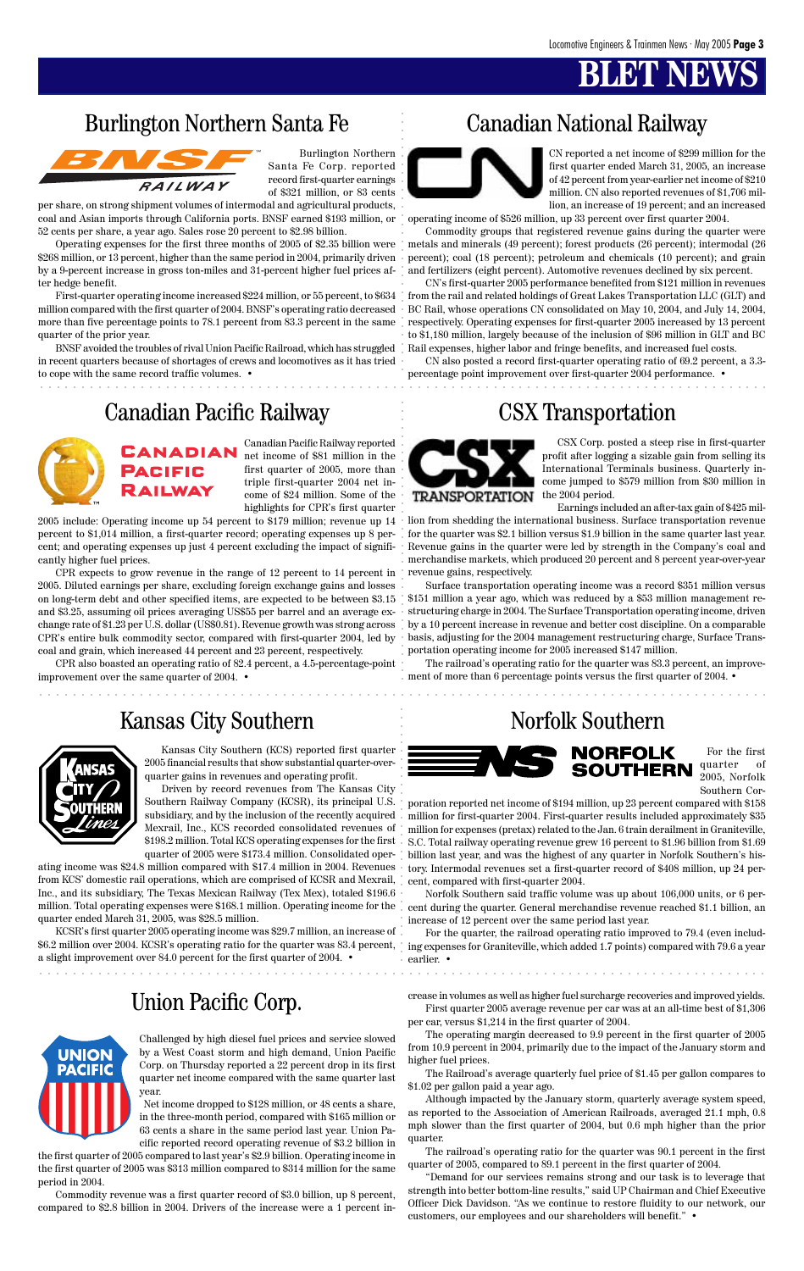### Burlington Northern Santa Fe Canadian National Railway



### Canadian Pacific Railway CSX Transportation



### Union Pacific Corp.



aaaaaaaaaaaaaaaaaaaaaaaaaaaaaaaaaaaaaaaaaaaaaaaaaaaaaaaaaaaaaaaaaaaaaaaaaaaaaaaaaaaaaaa

aaaaaaaaaaaaaaaaaaaaaaaaaaaaaaaaaaaaaaaaaaaaaaaaaaaaaaaaaaaaaaaaaaaaaaaaaaaaaaaaaaaaaaa

Burlington Northern Santa Fe Corp. reported record first-quarter earnings of \$321 million, or 83 cents

per share, on strong shipment volumes of intermodal and agricultural products, coal and Asian imports through California ports. BNSF earned \$193 million, or 52 cents per share, a year ago. Sales rose 20 percent to \$2.98 billion.

Operating expenses for the first three months of 2005 of \$2.35 billion were \$268 million, or 13 percent, higher than the same period in 2004, primarily driven by a 9-percent increase in gross ton-miles and 31-percent higher fuel prices after hedge benefit.

First-quarter operating income increased \$224 million, or 55 percent, to \$634 million compared with the first quarter of 2004. BNSF's operating ratio decreased more than five percentage points to 78.1 percent from 83.3 percent in the same quarter of the prior year.

BNSF avoided the troubles of rival Union Pacific Railroad, which has struggled in recent quarters because of shortages of crews and locomotives as it has tried to cope with the same record traffic volumes. •

CN reported a net income of \$299 million for the first quarter ended March 31, 2005, an increase of 42 percent from year-earlier net income of \$210 million. CN also reported revenues of \$1,706 million, an increase of 19 percent; and an increased

operating income of \$526 million, up 33 percent over first quarter 2004.

Commodity groups that registered revenue gains during the quarter were metals and minerals (49 percent); forest products (26 percent); intermodal (26 percent); coal (18 percent); petroleum and chemicals (10 percent); and grain and fertilizers (eight percent). Automotive revenues declined by six percent.

CN's first-quarter 2005 performance benefited from \$121 million in revenues from the rail and related holdings of Great Lakes Transportation LLC (GLT) and BC Rail, whose operations CN consolidated on May 10, 2004, and July 14, 2004, respectively. Operating expenses for first-quarter 2005 increased by 13 percent to \$1,180 million, largely because of the inclusion of \$96 million in GLT and BC Rail expenses, higher labor and fringe benefits, and increased fuel costs.

CN also posted a record first-quarter operating ratio of 69.2 percent, a 3.3 percentage point improvement over first-quarter 2004 performance. •

Canadian Pacific Railway reported net income of \$81 million in the first quarter of 2005, more than triple first-quarter 2004 net income of \$24 million. Some of the highlights for CPR's first quarter

2005 include: Operating income up 54 percent to \$179 million; revenue up 14 percent to \$1,014 million, a first-quarter record; operating expenses up 8 percent; and operating expenses up just 4 percent excluding the impact of significantly higher fuel prices.

Barlington Northern Santa Fe<br>
aaraa $\frac{a}{\sqrt{2\pi}}$ aaraa $\frac{a}{\sqrt{2\pi}}$  aadaanaa  $\frac{a}{\sqrt{2\pi}}$  aadaanaa  $\frac{a}{\sqrt{2\pi}}$ <br>Aan aaraa  $\frac{a}{\sqrt{2\pi}}$  aaraa $\frac{a}{\sqrt{2\pi}}$ <br>Aan aaraa $\frac{a}{\sqrt{2\pi}}$  aaraa $\frac{a}{\sqrt{2\pi}}$  aaraa $\frac{a}{\sqrt{2$ poration reported net income of \$194 million, up 23 percent compared with \$158 million for first-quarter 2004. First-quarter results included approximately \$35 million for expenses (pretax) related to the Jan. 6 train derailment in Graniteville, S.C. Total railway operating revenue grew 16 percent to \$1.96 billion from \$1.69 billion last year, and was the highest of any quarter in Norfolk Southern's history. Intermodal revenues set a first-quarter record of \$408 million, up 24 percent, compared with first-quarter 2004.

CPR expects to grow revenue in the range of 12 percent to 14 percent in 2005. Diluted earnings per share, excluding foreign exchange gains and losses on long-term debt and other specified items, are expected to be between \$3.15 and \$3.25, assuming oil prices averaging US\$55 per barrel and an average exchange rate of \$1.23 per U.S. dollar (US\$0.81). Revenue growth was strong across CPR's entire bulk commodity sector, compared with first-quarter 2004, led by coal and grain, which increased 44 percent and 23 percent, respectively.

CPR also boasted an operating ratio of 82.4 percent, a 4.5-percentage-point improvement over the same quarter of 2004. •

CSX Corp. posted a steep rise in first-quarter profit after logging a sizable gain from selling its International Terminals business. Quarterly income jumped to \$579 million from \$30 million in the 2004 period.

Earnings included an after-tax gain of \$425 mil-

lion from shedding the international business. Surface transportation revenue for the quarter was \$2.1 billion versus \$1.9 billion in the same quarter last year. Revenue gains in the quarter were led by strength in the Company's coal and merchandise markets, which produced 20 percent and 8 percent year-over-year revenue gains, respectively.

Surface transportation operating income was a record \$351 million versus \$151 million a year ago, which was reduced by a \$53 million management restructuring charge in 2004. The Surface Transportation operating income, driven by a 10 percent increase in revenue and better cost discipline. On a comparable basis, adjusting for the 2004 management restructuring charge, Surface Transportation operating income for 2005 increased \$147 million.

The railroad's operating ratio for the quarter was 83.3 percent, an improvement of more than 6 percentage points versus the first quarter of 2004. •

## Kansas City Southern Norfolk Southern



Kansas City Southern (KCS) reported first quarter 2005 financial results that show substantial quarter-overquarter gains in revenues and operating profit.

Driven by record revenues from The Kansas City Southern Railway Company (KCSR), its principal U.S. subsidiary, and by the inclusion of the recently acquired Mexrail, Inc., KCS recorded consolidated revenues of \$198.2 million. Total KCS operating expenses for the first quarter of 2005 were \$173.4 million. Consolidated oper-

ating income was \$24.8 million compared with \$17.4 million in 2004. Revenues from KCS' domestic rail operations, which are comprised of KCSR and Mexrail, Inc., and its subsidiary, The Texas Mexican Railway (Tex Mex), totaled \$196.6 million. Total operating expenses were \$168.1 million. Operating income for the cent during the quarter. General merchandise revenue reached \$1.1 billion, an quarter ended March 31, 2005, was \$28.5 million.

KCSR's first quarter 2005 operating income was \$29.7 million, an increase



\$6.2 million over 2004. KCSR's operating ratio for the quarter was 83.4 percent, ing expenses for Graniteville, which added 1.7 points) compared with 79.6 a year a slight improvement over 84.0 percent for the first quarter of 2004. •

For the first quarter of 2005, Norfolk Southern Cor-

Norfolk Southern said traffic volume was up about 106,000 units, or 6 perincrease of 12 percent over the same period last year.

For the quarter, the railroad operating ratio improved to 79.4 (even includearlier. •

Challenged by high diesel fuel prices and service slowed by a West Coast storm and high demand, Union Pacific Corp. on Thursday reported a 22 percent drop in its first quarter net income compared with the same quarter last year.

Net income dropped to \$128 million, or 48 cents a share, in the three-month period, compared with \$165 million or 63 cents a share in the same period last year. Union Pacific reported record operating revenue of \$3.2 billion in

the first quarter of 2005 compared to last year's \$2.9 billion. Operating income in the first quarter of 2005 was \$313 million compared to \$314 million for the same period in 2004.

Commodity revenue was a first quarter record of \$3.0 billion, up 8 percent, compared to \$2.8 billion in 2004. Drivers of the increase were a 1 percent increase in volumes as well as higher fuel surcharge recoveries and improved yields. First quarter 2005 average revenue per car was at an all-time best of \$1,306 per car, versus \$1,214 in the first quarter of 2004.

The operating margin decreased to 9.9 percent in the first quarter of 2005 from 10.9 percent in 2004, primarily due to the impact of the January storm and higher fuel prices.

The Railroad's average quarterly fuel price of \$1.45 per gallon compares to \$1.02 per gallon paid a year ago.

Although impacted by the January storm, quarterly average system speed, as reported to the Association of American Railroads, averaged 21.1 mph, 0.8 mph slower than the first quarter of 2004, but 0.6 mph higher than the prior quarter.

The railroad's operating ratio for the quarter was 90.1 percent in the first quarter of 2005, compared to 89.1 percent in the first quarter of 2004.

"Demand for our services remains strong and our task is to leverage that strength into better bottom-line results," said UP Chairman and Chief Executive Officer Dick Davidson. "As we continue to restore fluidity to our network, our customers, our employees and our shareholders will benefit." •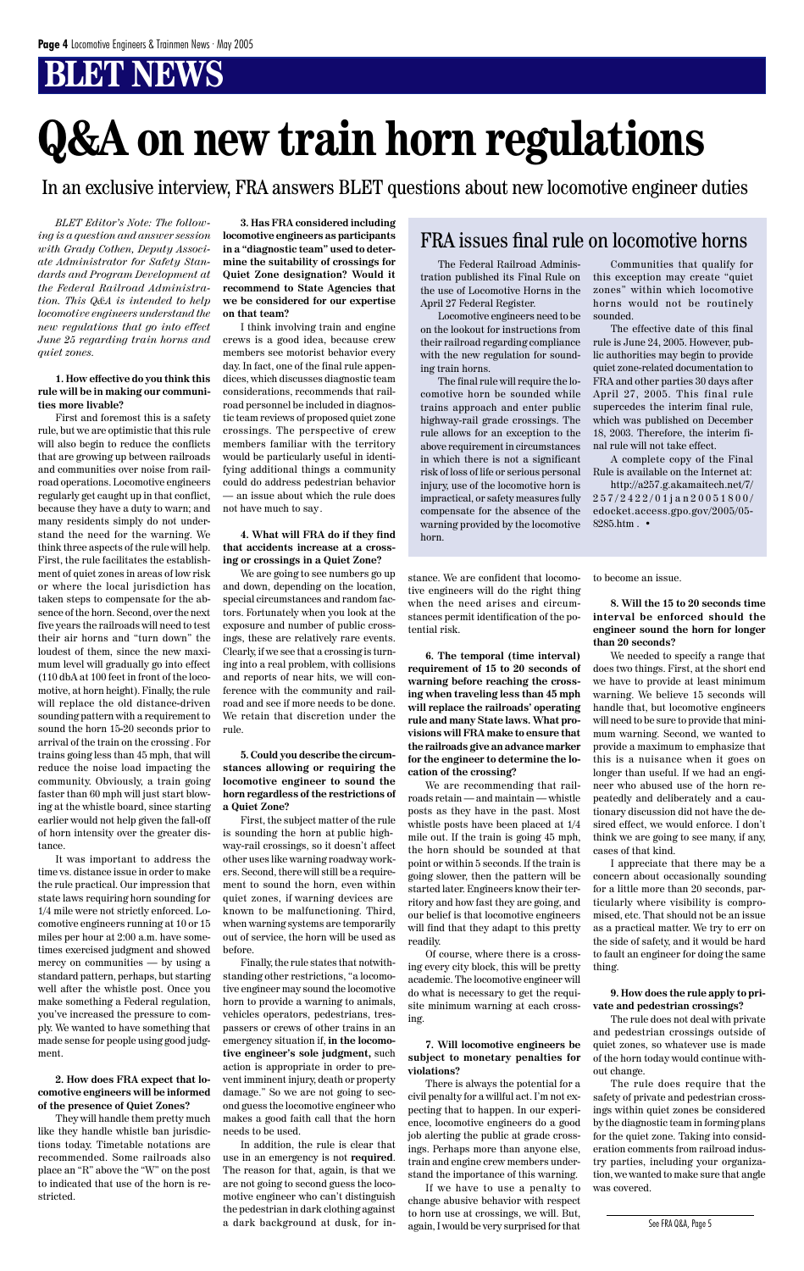*BLET Editor's Note: The following is a question and answer session with Grady Cothen, Deputy Associate Administrator for Safety Standards and Program Development at the Federal Railroad Administration. This Q&A is intended to help locomotive engineers understand the new regulations that go into effect June 25 regarding train horns and quiet zones.*

#### **1. How effective do you think this rule will be in making our communities more livable?**

First and foremost this is a safety rule, but we are optimistic that this rule will also begin to reduce the conflicts that are growing up between railroads and communities over noise from railroad operations. Locomotive engineers regularly get caught up in that conflict, because they have a duty to warn; and many residents simply do not understand the need for the warning. We think three aspects of the rule will help. First, the rule facilitates the establishment of quiet zones in areas of low risk or where the local jurisdiction has taken steps to compensate for the absence of the horn. Second, over the next five years the railroads will need to test their air horns and "turn down" the loudest of them, since the new maximum level will gradually go into effect (110 dbA at 100 feet in front of the locomotive, at horn height). Finally, the rule will replace the old distance-driven sounding pattern with a requirement to sound the horn 15-20 seconds prior to arrival of the train on the crossing . For trains going less than 45 mph, that will reduce the noise load impacting the community. Obviously, a train going faster than 60 mph will just start blowing at the whistle board, since starting earlier would not help given the fall-off of horn intensity over the greater distance.

I think involving train and engine crews is a good idea, because crew members see motorist behavior every day. In fact, one of the final rule appendices, which discusses diagnostic team considerations, recommends that railroad personnel be included in diagnostic team reviews of proposed quiet zone crossings. The perspective of crew members familiar with the territory would be particularly useful in identifying additional things a community could do address pedestrian behavior — an issue about which the rule does not have much to say.

It was important to address the time vs. distance issue in order to make the rule practical. Our impression that state laws requiring horn sounding for 1/4 mile were not strictly enforced. Locomotive engineers running at 10 or 15 miles per hour at 2:00 a.m. have sometimes exercised judgment and showed mercy on communities — by using a standard pattern, perhaps, but starting well after the whistle post. Once you make something a Federal regulation, you've increased the pressure to comply. We wanted to have something that made sense for people using good judgment.

**2. How does FRA expect that locomotive engineers will be informed of the presence of Quiet Zones?**

They will handle them pretty much like they handle whistle ban jurisdictions today. Timetable notations are recommended. Some railroads also place an "R" above the "W" on the post to indicated that use of the horn is restricted.

**3. Has FRA considered including locomotive engineers as participants in a "diagnostic team" used to determine the suitability of crossings for Quiet Zone designation? Would it recommend to State Agencies that we be considered for our expertise on that team?**

#### **4. What will FRA do if they find that accidents increase at a crossing or crossings in a Quiet Zone?**

We are going to see numbers go up and down, depending on the location, special circumstances and random factors. Fortunately when you look at the exposure and number of public crossings, these are relatively rare events. Clearly, if we see that a crossing is turning into a real problem, with collisions and reports of near hits, we will conference with the community and railroad and see if more needs to be done. We retain that discretion under the rule.

#### **5. Could you describe the circumstances allowing or requiring the locomotive engineer to sound the horn regardless of the restrictions of a Quiet Zone?**

First, the subject matter of the rule is sounding the horn at public highway-rail crossings, so it doesn't affect other uses like warning roadway workers. Second, there will still be a requirement to sound the horn, even within quiet zones, if warning devices are known to be malfunctioning. Third, when warning systems are temporarily out of service, the horn will be used as before. Finally, the rule states that notwithstanding other restrictions, "a locomotive engineer may sound the locomotive horn to provide a warning to animals, vehicles operators, pedestrians, trespassers or crews of other trains in an emergency situation if, **in the locomotive engineer's sole judgment,** such action is appropriate in order to prevent imminent injury, death or property damage." So we are not going to second guess the locomotive engineer who makes a good faith call that the horn needs to be used. In addition, the rule is clear that use in an emergency is not **required**. The reason for that, again, is that we are not going to second guess the locomotive engineer who can't distinguish the pedestrian in dark clothing against a dark background at dusk, for in-

http://a257.g.akamaitech.net/7/ 257/2422/01jan20051800/ edocket.access.gpo.gov/2005/05- 8285.htm  $\boldsymbol{\cdot}$ 

stance. We are confident that locomotive engineers will do the right thing when the need arises and circumstances permit identification of the potential risk.

**6. The temporal (time interval) requirement of 15 to 20 seconds of warning before reaching the crossing when traveling less than 45 mph will replace the railroads' operating rule and many State laws. What provisions will FRA make to ensure that the railroads give an advance marker for the engineer to determine the location of the crossing?**

We are recommending that railroads retain — and maintain — whistle posts as they have in the past. Most whistle posts have been placed at 1/4 mile out. If the train is going 45 mph, the horn should be sounded at that point or within 5 seconds. If the train is going slower, then the pattern will be started later. Engineers know their territory and how fast they are going, and our belief is that locomotive engineers will find that they adapt to this pretty readily. Of course, where there is a crossing every city block, this will be pretty academic. The locomotive engineer will do what is necessary to get the requisite minimum warning at each crossing.

**7. Will locomotive engineers be subject to monetary penalties for violations?**

There is always the potential for a civil penalty for a willful act. I'm not expecting that to happen. In our experience, locomotive engineers do a good job alerting the public at grade crossings. Perhaps more than anyone else, train and engine crew members understand the importance of this warning.

If we have to use a penalty to change abusive behavior with respect to horn use at crossings, we will. But, again, I would be very surprised for that to become an issue.

**8. Will the 15 to 20 seconds time interval be enforced should the engineer sound the horn for longer than 20 seconds?**

We needed to specify a range that does two things. First, at the short end we have to provide at least minimum warning. We believe 15 seconds will handle that, but locomotive engineers will need to be sure to provide that minimum warning. Second, we wanted to provide a maximum to emphasize that this is a nuisance when it goes on longer than useful. If we had an engineer who abused use of the horn repeatedly and deliberately and a cautionary discussion did not have the desired effect, we would enforce. I don't think we are going to see many, if any, cases of that kind.

I appreciate that there may be a concern about occasionally sounding for a little more than 20 seconds, particularly where visibility is compromised, etc. That should not be an issue as a practical matter. We try to err on

the side of safety, and it would be hard to fault an engineer for doing the same thing.

#### **9. How does the rule apply to private and pedestrian crossings?**

The rule does not deal with private and pedestrian crossings outside of quiet zones, so whatever use is made of the horn today would continue without change.

The rule does require that the safety of private and pedestrian crossings within quiet zones be considered by the diagnostic team in forming plans for the quiet zone. Taking into consideration comments from railroad industry parties, including your organization, we wanted to make sure that angle was covered.

### FRA issues final rule on locomotive horns

# **Q&A on new train horn regulations**

In an exclusive interview, FRA answers BLET questions about new locomotive engineer duties

The Federal Railroad Administration published its Final Rule on the use of Locomotive Horns in the April 27 Federal Register.

Locomotive engineers need to be on the lookout for instructions from their railroad regarding compliance with the new regulation for sounding train horns.

The final rule will require the locomotive horn be sounded while trains approach and enter public highway-rail grade crossings. The rule allows for an exception to the above requirement in circumstances in which there is not a significant risk of loss of life or serious personal injury, use of the locomotive horn is impractical, or safety measures fully compensate for the absence of the warning provided by the locomotive horn.

Communities that qualify for this exception may create "quiet zones" within which locomotive horns would not be routinely sounded.

The effective date of this final rule is June 24, 2005. However, public authorities may begin to provide quiet zone-related documentation to FRA and other parties 30 days after April 27, 2005. This final rule supercedes the interim final rule, which was published on December 18, 2003. Therefore, the interim final rule will not take effect.

A complete copy of the Final Rule is available on the Internet at:

See FRA Q&A, Page 5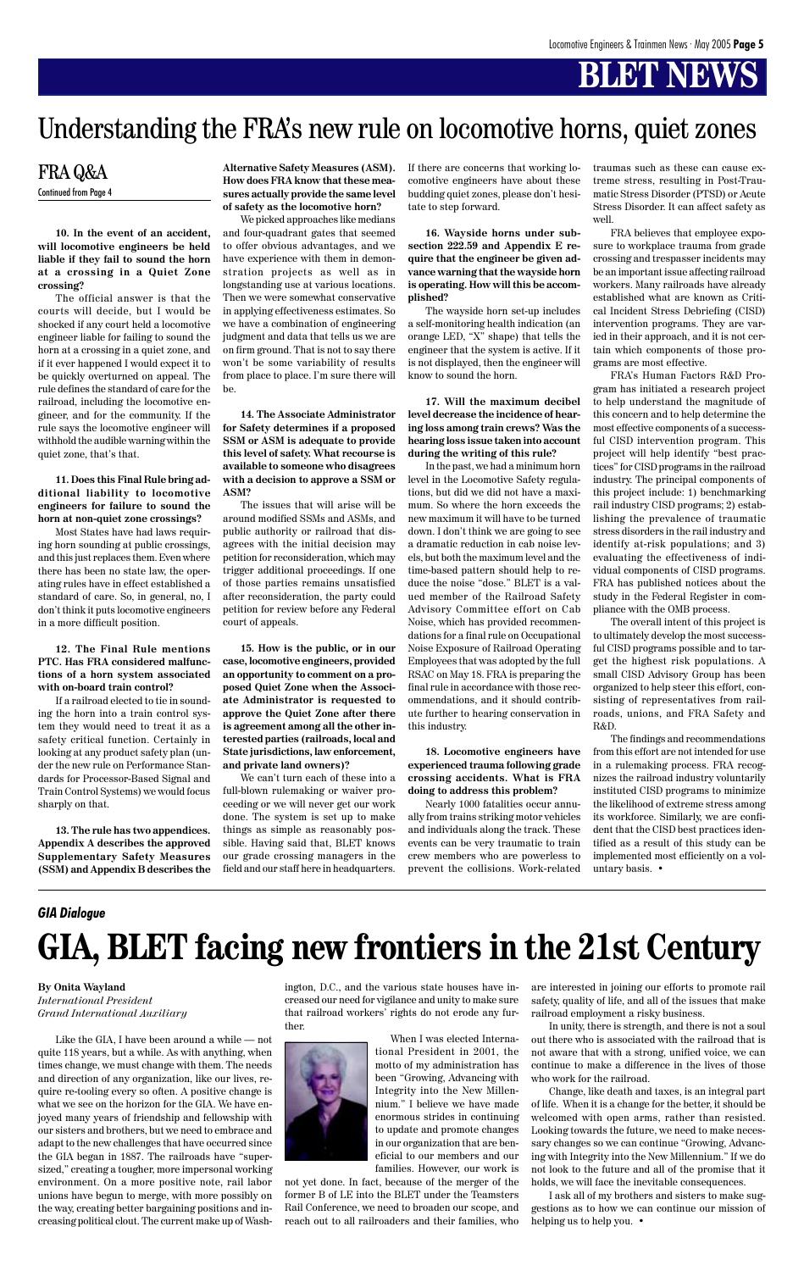**10. In the event of an accident, will locomotive engineers be held liable if they fail to sound the horn at a crossing in a Quiet Zone crossing?**

The official answer is that the courts will decide, but I would be shocked if any court held a locomotive engineer liable for failing to sound the horn at a crossing in a quiet zone, and if it ever happened I would expect it to be quickly overturned on appeal. The rule defines the standard of care for the railroad, including the locomotive engineer, and for the community. If the rule says the locomotive engineer will withhold the audible warning within the quiet zone, that's that.

**11. Does this Final Rule bring additional liability to locomotive engineers for failure to sound the horn at non-quiet zone crossings?**

Most States have had laws requiring horn sounding at public crossings, and this just replaces them. Even where there has been no state law, the operating rules have in effect established a standard of care. So, in general, no, I don't think it puts locomotive engineers in a more difficult position.

#### **12. The Final Rule mentions PTC. Has FRA considered malfunctions of a horn system associated with on-board train control?**

If a railroad elected to tie in sounding the horn into a train control system they would need to treat it as a safety critical function. Certainly in looking at any product safety plan (under the new rule on Performance Standards for Processor-Based Signal and Train Control Systems) we would focus sharply on that.

**13. The rule has two appendices. Appendix A describes the approved Supplementary Safety Measures (SSM) and Appendix B describes the**

#### **Alternative Safety Measures (ASM). How does FRA know that these measures actually provide the same level of safety as the locomotive horn?**

We picked approaches like medians and four-quadrant gates that seemed to offer obvious advantages, and we have experience with them in demonstration projects as well as in longstanding use at various locations. Then we were somewhat conservative in applying effectiveness estimates. So we have a combination of engineering judgment and data that tells us we are on firm ground. That is not to say there won't be some variability of results from place to place. I'm sure there will be.

**14. The Associate Administrator for Safety determines if a proposed SSM or ASM is adequate to provide this level of safety. What recourse is available to someone who disagrees with a decision to approve a SSM or ASM?**

The issues that will arise will be around modified SSMs and ASMs, and public authority or railroad that disagrees with the initial decision may petition for reconsideration, which may trigger additional proceedings. If one of those parties remains unsatisfied after reconsideration, the party could petition for review before any Federal court of appeals.

**15. How is the public, or in our case, locomotive engineers, provided an opportunity to comment on a proposed Quiet Zone when the Associate Administrator is requested to approve the Quiet Zone after there is agreement among all the other interested parties (railroads, local and State jurisdictions, law enforcement, and private land owners)?**

We can't turn each of these into a full-blown rulemaking or waiver proceeding or we will never get our work done. The system is set up to make things as simple as reasonably possible. Having said that, BLET knows our grade crossing managers in the field and our staff here in headquarters. If there are concerns that working locomotive engineers have about these budding quiet zones, please don't hesitate to step forward.

**16. Wayside horns under subsection 222.59 and Appendix E require that the engineer be given advance warning that the wayside horn is operating. How will this be accomplished?**

The wayside horn set-up includes a self-monitoring health indication (an orange LED, "X" shape) that tells the engineer that the system is active. If it is not displayed, then the engineer will know to sound the horn.

**17. Will the maximum decibel level decrease the incidence of hearing loss among train crews? Was the hearing loss issue taken into account during the writing of this rule?**

In the past, we had a minimum horn level in the Locomotive Safety regulations, but did we did not have a maximum. So where the horn exceeds the new maximum it will have to be turned down. I don't think we are going to see a dramatic reduction in cab noise levels, but both the maximum level and the time-based pattern should help to reduce the noise "dose." BLET is a valued member of the Railroad Safety Advisory Committee effort on Cab Noise, which has provided recommendations for a final rule on Occupational Noise Exposure of Railroad Operating Employees that was adopted by the full RSAC on May 18. FRA is preparing the final rule in accordance with those recommendations, and it should contribute further to hearing conservation in this industry.

#### **18. Locomotive engineers have experienced trauma following grade crossing accidents. What is FRA doing to address this problem?**

Nearly 1000 fatalities occur annually from trains striking motor vehicles and individuals along the track. These events can be very traumatic to train crew members who are powerless to prevent the collisions. Work-related

# **BLET NEWS**

traumas such as these can cause extreme stress, resulting in Post-Traumatic Stress Disorder (PTSD) or Acute Stress Disorder. It can affect safety as well.

FRA believes that employee exposure to workplace trauma from grade crossing and trespasser incidents may be an important issue affecting railroad workers. Many railroads have already established what are known as Critical Incident Stress Debriefing (CISD) intervention programs. They are varied in their approach, and it is not certain which components of those programs are most effective.

FRA's Human Factors R&D Program has initiated a research project to help understand the magnitude of this concern and to help determine the most effective components of a successful CISD intervention program. This project will help identify "best practices" for CISD programs in the railroad industry. The principal components of this project include: 1) benchmarking rail industry CISD programs; 2) establishing the prevalence of traumatic stress disorders in the rail industry and identify at-risk populations; and 3) evaluating the effectiveness of individual components of CISD programs. FRA has published notices about the study in the Federal Register in compliance with the OMB process.

The overall intent of this project is to ultimately develop the most successful CISD programs possible and to target the highest risk populations. A small CISD Advisory Group has been organized to help steer this effort, consisting of representatives from railroads, unions, and FRA Safety and R&D.

The findings and recommendations from this effort are not intended for use in a rulemaking process. FRA recognizes the railroad industry voluntarily instituted CISD programs to minimize the likelihood of extreme stress among its workforce. Similarly, we are confident that the CISD best practices identified as a result of this study can be implemented most efficiently on a voluntary basis. •

### FRA Q&A Continued from Page 4

# Understanding the FRA's new rule on locomotive horns, quiet zones

#### **By Onita Wayland** *International President Grand International Auxiliary*

Like the GIA, I have been around a while — not quite 118 years, but a while. As with anything, when times change, we must change with them. The needs and direction of any organization, like our lives, require re-tooling every so often. A positive change is what we see on the horizon for the GIA. We have enjoyed many years of friendship and fellowship with our sisters and brothers, but we need to embrace and adapt to the new challenges that have occurred since the GIA began in 1887. The railroads have "supersized," creating a tougher, more impersonal working environment. On a more positive note, rail labor unions have begun to merge, with more possibly on the way, creating better bargaining positions and increasing political clout. The current make up of Washington, D.C., and the various state houses have increased our need for vigilance and unity to make sure that railroad workers' rights do not erode any further.



not yet done. In fact, because of the merger of the former B of LE into the BLET under the Teamsters Rail Conference, we need to broaden our scope, and reach out to all railroaders and their families, who are interested in joining our efforts to promote rail safety, quality of life, and all of the issues that make railroad employment a risky business.

In unity, there is strength, and there is not a soul out there who is associated with the railroad that is not aware that with a strong, unified voice, we can continue to make a difference in the lives of those who work for the railroad.

Change, like death and taxes, is an integral part of life. When it is a change for the better, it should be welcomed with open arms, rather than resisted. Looking towards the future, we need to make necessary changes so we can continue "Growing, Advancing with Integrity into the New Millennium." If we do not look to the future and all of the promise that it holds, we will face the inevitable consequences.

I ask all of my brothers and sisters to make suggestions as to how we can continue our mission of helping us to help you. •

# **GIA, BLET facing new frontiers in the 21st Century**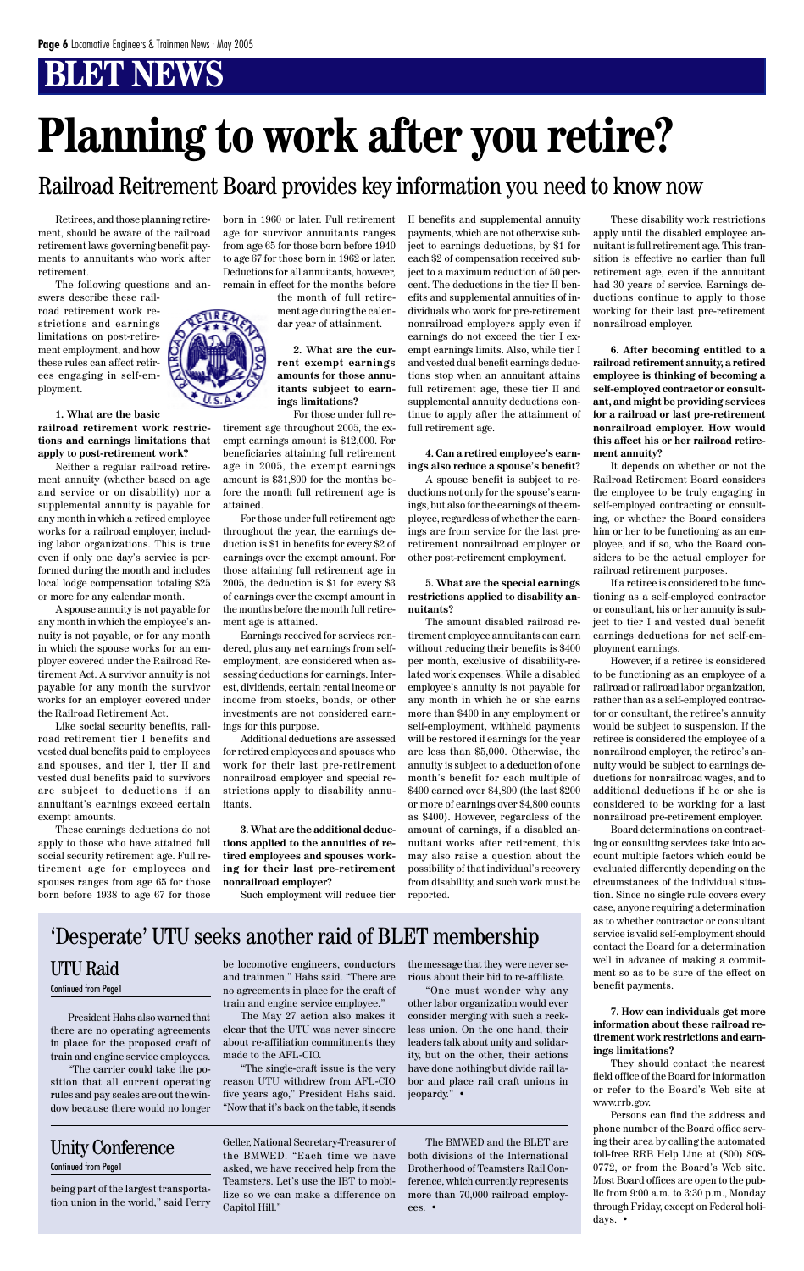Retirees, and those planning retirement, should be aware of the railroad retirement laws governing benefit payments to annuitants who work after retirement.

The following questions and an-

swers describe these railroad retirement work restrictions and earnings limitations on post-retirement employment, and how these rules can affect retirees engaging in self-employment.

**1. What are the basic railroad retirement work restrictions and earnings limitations that apply to post-retirement work?**

Neither a regular railroad retirement annuity (whether based on age and service or on disability) nor a supplemental annuity is payable for any month in which a retired employee works for a railroad employer, including labor organizations. This is true even if only one day's service is performed during the month and includes local lodge compensation totaling \$25 or more for any calendar month.

A spouse annuity is not payable for any month in which the employee's annuity is not payable, or for any month in which the spouse works for an employer covered under the Railroad Retirement Act. A survivor annuity is not payable for any month the survivor works for an employer covered under the Railroad Retirement Act.

Like social security benefits, railroad retirement tier I benefits and vested dual benefits paid to employees and spouses, and tier I, tier II and vested dual benefits paid to survivors are subject to deductions if an annuitant's earnings exceed certain exempt amounts.

These earnings deductions do not apply to those who have attained full social security retirement age. Full retirement age for employees and spouses ranges from age 65 for those born before 1938 to age 67 for those born in 1960 or later. Full retirement age for survivor annuitants ranges from age 65 for those born before 1940 to age 67 for those born in 1962 or later. Deductions for all annuitants, however, remain in effect for the months before

the month of full retirement age during the calendar year of attainment.

> **2. What are the current exempt earnings amounts for those annuitants subject to earnings limitations?**

For those under full retirement age throughout 2005, the exempt earnings amount is \$12,000. For beneficiaries attaining full retirement age in 2005, the exempt earnings amount is \$31,800 for the months before the month full retirement age is attained.

For those under full retirement age throughout the year, the earnings deduction is \$1 in benefits for every \$2 of earnings over the exempt amount. For those attaining full retirement age in 2005, the deduction is \$1 for every \$3 of earnings over the exempt amount in the months before the month full retirement age is attained.

Earnings received for services rendered, plus any net earnings from selfemployment, are considered when assessing deductions for earnings. Interest, dividends, certain rental income or income from stocks, bonds, or other investments are not considered earnings for this purpose.

Additional deductions are assessed for retired employees and spouses who work for their last pre-retirement nonrailroad employer and special restrictions apply to disability annuitants.

**3. What are the additional deductions applied to the annuities of retired employees and spouses working for their last pre-retirement nonrailroad employer?**

Such employment will reduce tier

II benefits and supplemental annuity payments, which are not otherwise subject to earnings deductions, by \$1 for each \$2 of compensation received subject to a maximum reduction of 50 percent. The deductions in the tier II benefits and supplemental annuities of individuals who work for pre-retirement nonrailroad employers apply even if earnings do not exceed the tier I exempt earnings limits. Also, while tier I and vested dual benefit earnings deductions stop when an annuitant attains full retirement age, these tier II and supplemental annuity deductions continue to apply after the attainment of full retirement age.

#### **4. Can a retired employee's earnings also reduce a spouse's benefit?**

A spouse benefit is subject to reductions not only for the spouse's earnings, but also for the earnings of the employee, regardless of whether the earnings are from service for the last preretirement nonrailroad employer or other post-retirement employment.

#### **5. What are the special earnings restrictions applied to disability annuitants?**

The amount disabled railroad retirement employee annuitants can earn without reducing their benefits is \$400 per month, exclusive of disability-related work expenses. While a disabled employee's annuity is not payable for any month in which he or she earns more than \$400 in any employment or self-employment, withheld payments will be restored if earnings for the year are less than \$5,000. Otherwise, the annuity is subject to a deduction of one month's benefit for each multiple of \$400 earned over \$4,800 (the last \$200 or more of earnings over \$4,800 counts as \$400). However, regardless of the amount of earnings, if a disabled annuitant works after retirement, this may also raise a question about the possibility of that individual's recovery from disability, and such work must be reported.

These disability work restrictions apply until the disabled employee annuitant is full retirement age. This transition is effective no earlier than full retirement age, even if the annuitant had 30 years of service. Earnings deductions continue to apply to those working for their last pre-retirement nonrailroad employer.

**6. After becoming entitled to a railroad retirement annuity, a retired employee is thinking of becoming a self-employed contractor or consultant, and might be providing services for a railroad or last pre-retirement nonrailroad employer. How would this affect his or her railroad retirement annuity?**

It depends on whether or not the Railroad Retirement Board considers the employee to be truly engaging in self-employed contracting or consulting, or whether the Board considers him or her to be functioning as an employee, and if so, who the Board considers to be the actual employer for railroad retirement purposes.

If a retiree is considered to be functioning as a self-employed contractor or consultant, his or her annuity is subject to tier I and vested dual benefit earnings deductions for net self-employment earnings.

However, if a retiree is considered to be functioning as an employee of a railroad or railroad labor organization, rather than as a self-employed contractor or consultant, the retiree's annuity would be subject to suspension. If the retiree is considered the employee of a nonrailroad employer, the retiree's annuity would be subject to earnings deductions for nonrailroad wages, and to additional deductions if he or she is considered to be working for a last nonrailroad pre-retirement employer.

Board determinations on contracting or consulting services take into account multiple factors which could be evaluated differently depending on the circumstances of the individual situation. Since no single rule covers every case, anyone requiring a determination as to whether contractor or consultant service is valid self-employment should contact the Board for a determination well in advance of making a commitment so as to be sure of the effect on benefit payments.



**7. How can individuals get more information about these railroad retirement work restrictions and earnings limitations?**

They should contact the nearest field office of the Board for information or refer to the Board's Web site at www.rrb.gov.

Persons can find the address and phone number of the Board office serving their area by calling the automated toll-free RRB Help Line at (800) 808- 0772, or from the Board's Web site. Most Board offices are open to the public from 9:00 a.m. to 3:30 p.m., Monday through Friday, except on Federal holidays. •

# **Planning to work after you retire?**

### Railroad Reitrement Board provides key information you need to know now

President Hahs also warned that there are no operating agreements in place for the proposed craft of train and engine service employees.

"The carrier could take the position that all current operating rules and pay scales are out the window because there would no longer be locomotive engineers, conductors and trainmen," Hahs said. "There are no agreements in place for the craft of train and engine service employee."

The May 27 action also makes it clear that the UTU was never sincere about re-affiliation commitments they made to the AFL-CIO.

"The single-craft issue is the very reason UTU withdrew from AFL-CIO five years ago," President Hahs said. "Now that it's back on the table, it sends

### UTU Raid Continued from Page1

the message that they were never serious about their bid to re-affiliate.

"One must wonder why any other labor organization would ever consider merging with such a reckless union. On the one hand, their leaders talk about unity and solidarity, but on the other, their actions have done nothing but divide rail labor and place rail craft unions in jeopardy." •

being part of the largest transportation union in the world," said Perry

Geller, National Secretary-Treasurer of the BMWED. "Each time we have asked, we have received help from the Teamsters. Let's use the IBT to mobilize so we can make a difference on Capitol Hill."

The BMWED and the BLET are both divisions of the International Brotherhood of Teamsters Rail Conference, which currently represents more than 70,000 railroad employees. •

### 'Desperate' UTU seeks another raid of BLET membership

## Unity Conference

Continued from Page1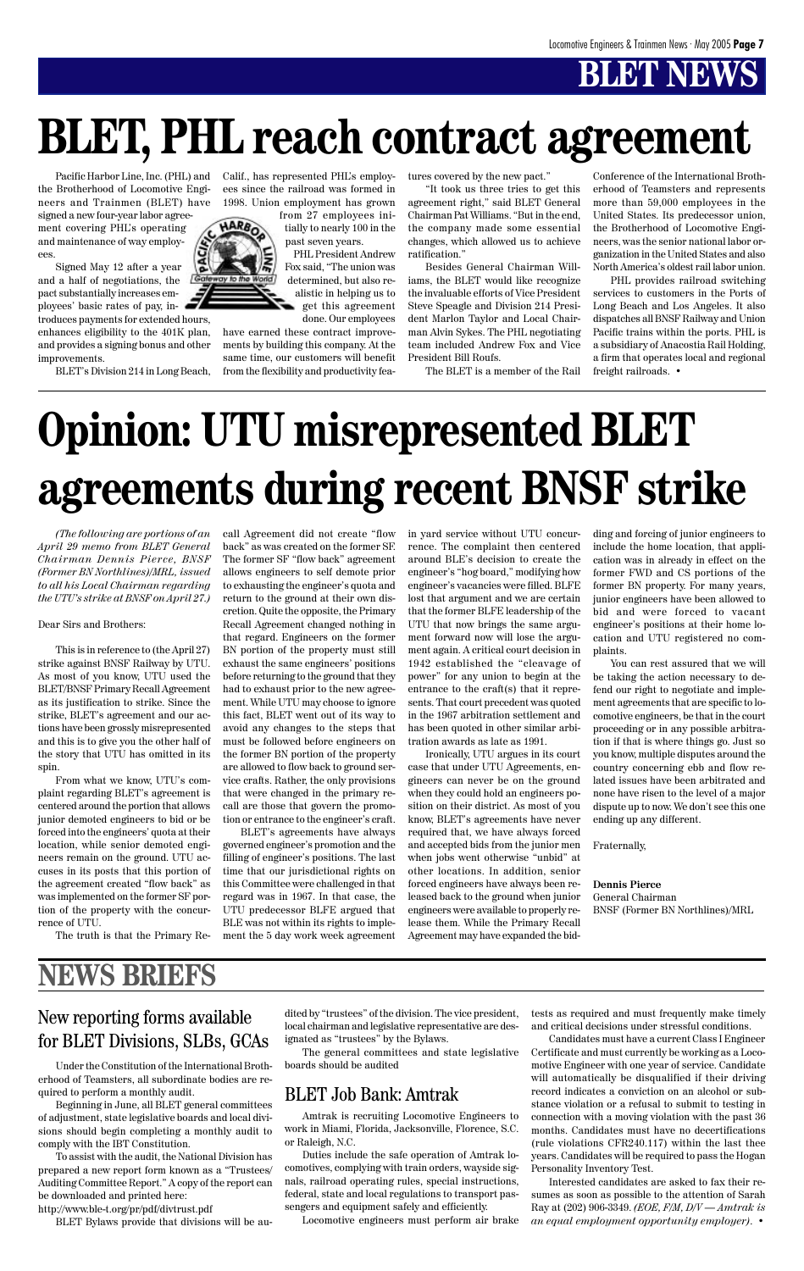Pacific Harbor Line, Inc. (PHL) and the Brotherhood of Locomotive Engineers and Trainmen (BLET) have

signed a new four-year labor agreement covering PHL's operating and maintenance of way employees.

Signed May 12 after a year and a half of negotiations, the pact substantially increases employees' basic rates of pay, in-

troduces payments for extended hours, enhances eligibility to the 401K plan, and provides a signing bonus and other improvements.

BLET's Division 214 in Long Beach,



Calif., has represented PHL's employees since the railroad was formed in 1998. Union employment has grown

> from 27 employees initially to nearly 100 in the past seven years.

PHL President Andrew Fox said, "The union was determined, but also realistic in helping us to get this agreement done. Our employees

have earned these contract improvements by building this company. At the same time, our customers will benefit from the flexibility and productivity features covered by the new pact."

"It took us three tries to get this agreement right," said BLET General Chairman Pat Williams. "But in the end, the company made some essential changes, which allowed us to achieve ratification."

Besides General Chairman Williams, the BLET would like recognize the invaluable efforts of Vice President Steve Speagle and Division 214 President Marlon Taylor and Local Chairman Alvin Sykes. The PHL negotiating team included Andrew Fox and Vice President Bill Roufs.

The BLET is a member of the Rail

Conference of the International Brotherhood of Teamsters and represents more than 59,000 employees in the United States. Its predecessor union, the Brotherhood of Locomotive Engineers, was the senior national labor organization in the United States and also North America's oldest rail labor union.

PHL provides railroad switching services to customers in the Ports of Long Beach and Los Angeles. It also dispatches all BNSF Railway and Union Pacific trains within the ports. PHL is a subsidiary of Anacostia Rail Holding, a firm that operates local and regional freight railroads. •

# **BLET, PHL reach contract agreement**

*(The following are portions of an April 29 memo from BLET General Chairman Dennis Pierce, BNSF (Former BN Northlines)/MRL, issued to all his Local Chairman regarding the UTU's strike at BNSF on April 27.)*

#### Dear Sirs and Brothers:

This is in reference to (the April 27) strike against BNSF Railway by UTU. As most of you know, UTU used the BLET/BNSF Primary Recall Agreement as its justification to strike. Since the strike, BLET's agreement and our actions have been grossly misrepresented and this is to give you the other half of the story that UTU has omitted in its spin.

From what we know, UTU's complaint regarding BLET's agreement is centered around the portion that allows junior demoted engineers to bid or be forced into the engineers' quota at their location, while senior demoted engineers remain on the ground. UTU accuses in its posts that this portion of the agreement created "flow back" as was implemented on the former SF portion of the property with the concurrence of UTU.

call Agreement did not create "flow back" as was created on the former SF. The former SF "flow back" agreement allows engineers to self demote prior to exhausting the engineer's quota and return to the ground at their own discretion. Quite the opposite, the Primary Recall Agreement changed nothing in that regard. Engineers on the former BN portion of the property must still exhaust the same engineers' positions before returning to the ground that they had to exhaust prior to the new agreement. While UTU may choose to ignore this fact, BLET went out of its way to avoid any changes to the steps that must be followed before engineers on the former BN portion of the property are allowed to flow back to ground service crafts. Rather, the only provisions that were changed in the primary recall are those that govern the promotion or entrance to the engineer's craft.

BLET's agreements have always governed engineer's promotion and the filling of engineer's positions. The last time that our jurisdictional rights on this Committee were challenged in that regard was in 1967. In that case, the UTU predecessor BLFE argued that BLE was not within its rights to implein yard service without UTU concurrence. The complaint then centered around BLE's decision to create the engineer's "hog board," modifying how engineer's vacancies were filled. BLFE lost that argument and we are certain that the former BLFE leadership of the UTU that now brings the same argument forward now will lose the argument again. A critical court decision in 1942 established the "cleavage of power" for any union to begin at the entrance to the craft(s) that it represents. That court precedent was quoted in the 1967 arbitration settlement and has been quoted in other similar arbitration awards as late as 1991.

Ironically, UTU argues in its court case that under UTU Agreements, engineers can never be on the ground when they could hold an engineers position on their district. As most of you know, BLET's agreements have never required that, we have always forced and accepted bids from the junior men when jobs went otherwise "unbid" at other locations. In addition, senior forced engineers have always been released back to the ground when junior engineers were available to properly release them. While the Primary Recall

ding and forcing of junior engineers to include the home location, that application was in already in effect on the former FWD and CS portions of the former BN property. For many years, junior engineers have been allowed to bid and were forced to vacant engineer's positions at their home location and UTU registered no complaints.

You can rest assured that we will be taking the action necessary to defend our right to negotiate and implement agreements that are specific to locomotive engineers, be that in the court proceeding or in any possible arbitration if that is where things go. Just so you know, multiple disputes around the country concerning ebb and flow related issues have been arbitrated and none have risen to the level of a major dispute up to now. We don't see this one ending up any different.

Fraternally,

#### **Dennis Pierce**

General Chairman BNSF (Former BN Northlines)/MRL

# **Opinion: UTU misrepresented BLET agreements during recent BNSF strike**

Under the Constitution of the International Brotherhood of Teamsters, all subordinate bodies are required to perform a monthly audit.

Beginning in June, all BLET general committees of adjustment, state legislative boards and local divisions should begin completing a monthly audit to comply with the IBT Constitution.

To assist with the audit, the National Division has prepared a new report form known as a "Trustees/ Auditing Committee Report." A copy of the report can be downloaded and printed here:

http://www.ble-t.org/pr/pdf/divtrust.pdf

BLET Bylaws provide that divisions will be au-

### New reporting forms available for BLET Divisions, SLBs, GCAs

dited by "trustees" of the division. The vice president, local chairman and legislative representative are designated as "trustees" by the Bylaws.

The general committees and state legislative boards should be audited

## **NEWS BRIEFS**

Amtrak is recruiting Locomotive Engineers to work in Miami, Florida, Jacksonville, Florence, S.C. or Raleigh, N.C.

Duties include the safe operation of Amtrak locomotives, complying with train orders, wayside signals, railroad operating rules, special instructions, federal, state and local regulations to transport passengers and equipment safely and efficiently.

Locomotive engineers must perform air brake

tests as required and must frequently make timely and critical decisions under stressful conditions.

Candidates must have a current Class I Engineer Certificate and must currently be working as a Locomotive Engineer with one year of service. Candidate will automatically be disqualified if their driving record indicates a conviction on an alcohol or substance violation or a refusal to submit to testing in connection with a moving violation with the past 36 months. Candidates must have no decertifications (rule violations CFR240.117) within the last thee years. Candidates will be required to pass the Hogan Personality Inventory Test.

Interested candidates are asked to fax their resumes as soon as possible to the attention of Sarah Ray at (202) 906-3349. *(EOE, F/M, D/V — Amtrak is an equal employment opportunity employer)*. •

### BLET Job Bank: Amtrak